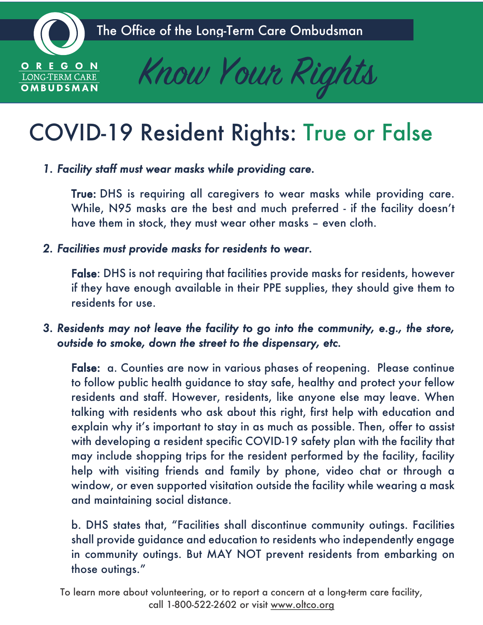

OMBUDSMAN



# COVID-19 Resident Rights: True or False

*1. Facility staff must wear masks while providing care.*

True: DHS is requiring all caregivers to wear masks while providing care. While, N95 masks are the best and much preferred - if the facility doesn't have them in stock, they must wear other masks – even cloth.

*2. Facilities must provide masks for residents to wear.*

False: DHS is not requiring that facilities provide masks for residents, however if they have enough available in their PPE supplies, they should give them to residents for use.

# *3. Residents may not leave the facility to go into the community, e.g., the store, outside to smoke, down the street to the dispensary, etc.*

False: a. Counties are now in various phases of reopening. Please continue to follow public health guidance to stay safe, healthy and protect your fellow residents and staff. However, residents, like anyone else may leave. When talking with residents who ask about this right, first help with education and explain why it's important to stay in as much as possible. Then, offer to assist with developing a resident specific COVID-19 safety plan with the facility that may include shopping trips for the resident performed by the facility, facility help with visiting friends and family by phone, video chat or through a window, or even supported visitation outside the facility while wearing a mask and maintaining social distance.

b. DHS states that, "Facilities shall discontinue community outings. Facilities shall provide guidance and education to residents who independently engage in community outings. But MAY NOT prevent residents from embarking on those outings."

To learn more about volunteering, or to report a concern at a long-term care facility, call 1-800-522-2602 or visit www.oltco.org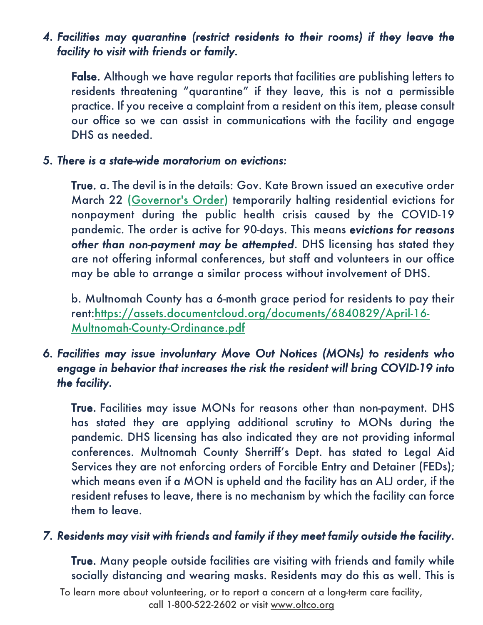# *4. Facilities may quarantine (restrict residents to their rooms) if they leave the facility to visit with friends or family.*

False. Although we have regular reports that facilities are publishing letters to residents threatening "quarantine" if they leave, this is not a permissible practice. If you receive a complaint from a resident on this item, please consult our office so we can assist in communications with the facility and engage DHS as needed.

#### *5. There is a state-wide moratorium on evictions:*

True. a. The devil is in the details: Gov. Kate Brown issued an executive order March 22 (Governor's Order) temporarily halting residential evictions for nonpayment during the public health crisis caused by the COVID-19 pandemic. The order is active for 90-days. This means *evictions for reasons other than non-payment may be attempted*. DHS licensing has stated they are not offering informal conferences, but staff and volunteers in our office may be able to arrange a similar process without involvement of DHS.

b. Multnomah County has a 6-month grace period for residents to pay their rent:https://assets.documentcloud.org/documents/6840829/April-16- Multnomah-County-Ordinance.pdf

# *6. Facilities may issue involuntary Move Out Notices (MONs) to residents who engage in behavior that increases the risk the resident will bring COVID-19 into the facility.*

True. Facilities may issue MONs for reasons other than non-payment. DHS has stated they are applying additional scrutiny to MONs during the pandemic. DHS licensing has also indicated they are not providing informal conferences. Multnomah County Sherriff's Dept. has stated to Legal Aid Services they are not enforcing orders of Forcible Entry and Detainer (FEDs); which means even if a MON is upheld and the facility has an ALJ order, if the resident refuses to leave, there is no mechanism by which the facility can force them to leave.

#### *7. Residents may visit with friends and family if they meet family outside the facility.*

True. Many people outside facilities are visiting with friends and family while socially distancing and wearing masks. Residents may do this as well. This is

To learn more about volunteering, or to report a concern at a long-term care facility, call 1-800-522-2602 or visit www.oltco.org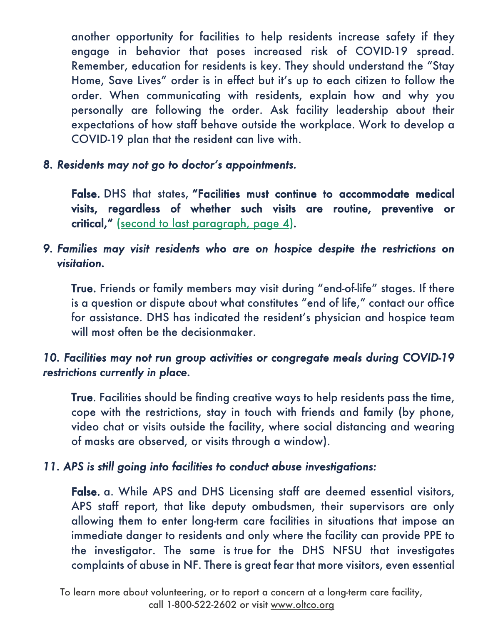another opportunity for facilities to help residents increase safety if they engage in behavior that poses increased risk of COVID-19 spread. Remember, education for residents is key. They should understand the "Stay Home, Save Lives" order is in effect but it's up to each citizen to follow the order. When communicating with residents, explain how and why you personally are following the order. Ask facility leadership about their expectations of how staff behave outside the workplace. Work to develop a COVID-19 plan that the resident can live with.

*8. Residents may not go to doctor's appointments.* 

False. DHS that states, "Facilities must continue to accommodate medical visits, regardless of whether such visits are routine, preventive or critical," (second to last paragraph, page 4)*.*

# *9. Families may visit residents who are on hospice despite the restrictions on visitation.*

True. Friends or family members may visit during "end-of-life" stages. If there is a question or dispute about what constitutes "end of life," contact our office for assistance. DHS has indicated the resident's physician and hospice team will most often be the decisionmaker.

# *10. Facilities may not run group activities or congregate meals during COVID-19 restrictions currently in place.*

True. Facilities should be finding creative ways to help residents pass the time, cope with the restrictions, stay in touch with friends and family (by phone, video chat or visits outside the facility, where social distancing and wearing of masks are observed, or visits through a window).

### *11. APS is still going into facilities to conduct abuse investigations:*

False. a. While APS and DHS Licensing staff are deemed essential visitors, APS staff report, that like deputy ombudsmen, their supervisors are only allowing them to enter long-term care facilities in situations that impose an immediate danger to residents and only where the facility can provide PPE to the investigator. The same is true for the DHS NFSU that investigates complaints of abuse in NF. There is great fear that more visitors, even essential